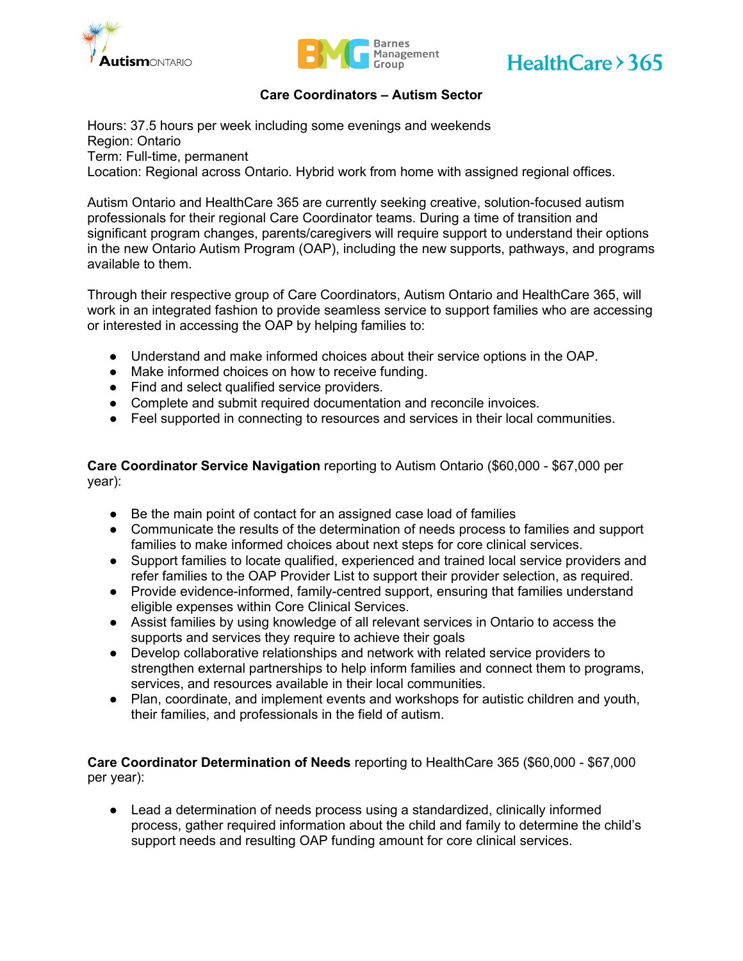





### **Care Coordinators – Autism Sector**

Hours: 37.5 hours per week including some evenings and weekends Region: Ontario Term: Full-time, permanent Location: Regional across Ontario. Hybrid work from home with assigned regional offices.

Autism Ontario and HealthCare 365 are currently seeking creative, solution-focused autism professionals for their regional Care Coordinator teams. During a time of transition and significant program changes, parents/caregivers will require support to understand their options in the new Ontario Autism Program (OAP), including the new supports, pathways, and programs available to them.

Through their respective group of Care Coordinators, Autism Ontario and HealthCare 365, will work in an integrated fashion to provide seamless service to support families who are accessing or interested in accessing the OAP by helping families to:

- Understand and make informed choices about their service options in the OAP.
- Make informed choices on how to receive funding.
- Find and select qualified service providers.
- Complete and submit required documentation and reconcile invoices.
- Feel supported in connecting to resources and services in their local communities.

**Care Coordinator Service Navigation** reporting to Autism Ontario (\$60,000 - \$67,000 per year):

- Be the main point of contact for an assigned case load of families
- Communicate the results of the determination of needs process to families and support families to make informed choices about next steps for core clinical services.
- Support families to locate qualified, experienced and trained local service providers and refer families to the OAP Provider List to support their provider selection, as required.
- Provide evidence-informed, family-centred support, ensuring that families understand eligible expenses within Core Clinical Services.
- Assist families by using knowledge of all relevant services in Ontario to access the supports and services they require to achieve their goals
- Develop collaborative relationships and network with related service providers to strengthen external partnerships to help inform families and connect them to programs, services, and resources available in their local communities.
- Plan, coordinate, and implement events and workshops for autistic children and youth, their families, and professionals in the field of autism.

**Care Coordinator Determination of Needs** reporting to HealthCare 365 (\$60,000 - \$67,000 per year):

● Lead a determination of needs process using a standardized, clinically informed process, gather required information about the child and family to determine the child's support needs and resulting OAP funding amount for core clinical services.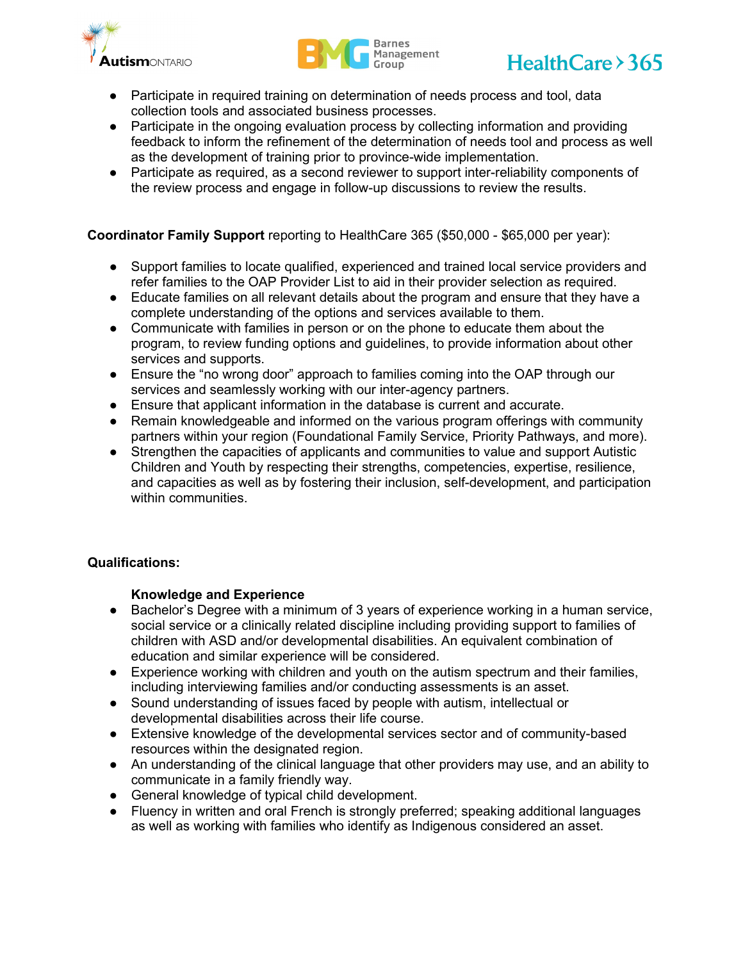





- Participate in required training on determination of needs process and tool, data collection tools and associated business processes.
- Participate in the ongoing evaluation process by collecting information and providing feedback to inform the refinement of the determination of needs tool and process as well as the development of training prior to province-wide implementation.
- Participate as required, as a second reviewer to support inter-reliability components of the review process and engage in follow-up discussions to review the results.

# **Coordinator Family Support** reporting to HealthCare 365 (\$50,000 - \$65,000 per year):

- Support families to locate qualified, experienced and trained local service providers and refer families to the OAP Provider List to aid in their provider selection as required.
- Educate families on all relevant details about the program and ensure that they have a complete understanding of the options and services available to them.
- Communicate with families in person or on the phone to educate them about the program, to review funding options and guidelines, to provide information about other services and supports.
- Ensure the "no wrong door" approach to families coming into the OAP through our services and seamlessly working with our inter-agency partners.
- Ensure that applicant information in the database is current and accurate.
- Remain knowledgeable and informed on the various program offerings with community partners within your region (Foundational Family Service, Priority Pathways, and more).
- Strengthen the capacities of applicants and communities to value and support Autistic Children and Youth by respecting their strengths, competencies, expertise, resilience, and capacities as well as by fostering their inclusion, self-development, and participation within communities.

# **Qualifications:**

#### **Knowledge and Experience**

- Bachelor's Degree with a minimum of 3 years of experience working in a human service, social service or a clinically related discipline including providing support to families of children with ASD and/or developmental disabilities. An equivalent combination of education and similar experience will be considered.
- Experience working with children and youth on the autism spectrum and their families, including interviewing families and/or conducting assessments is an asset.
- Sound understanding of issues faced by people with autism, intellectual or developmental disabilities across their life course.
- Extensive knowledge of the developmental services sector and of community-based resources within the designated region.
- An understanding of the clinical language that other providers may use, and an ability to communicate in a family friendly way.
- General knowledge of typical child development.
- Fluency in written and oral French is strongly preferred; speaking additional languages as well as working with families who identify as Indigenous considered an asset.